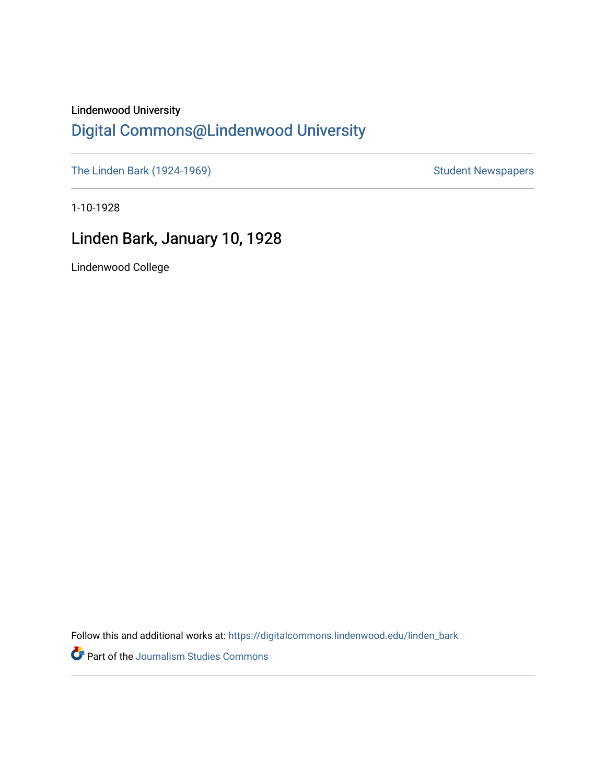## Lindenwood University

# [Digital Commons@Lindenwood University](https://digitalcommons.lindenwood.edu/)

[The Linden Bark \(1924-1969\)](https://digitalcommons.lindenwood.edu/linden_bark) [Student Newspapers](https://digitalcommons.lindenwood.edu/stu-newspapers) Student Newspapers

1-10-1928

# Linden Bark, January 10, 1928

Lindenwood College

Follow this and additional works at: [https://digitalcommons.lindenwood.edu/linden\\_bark](https://digitalcommons.lindenwood.edu/linden_bark?utm_source=digitalcommons.lindenwood.edu%2Flinden_bark%2F661&utm_medium=PDF&utm_campaign=PDFCoverPages)

Part of the [Journalism Studies Commons](http://network.bepress.com/hgg/discipline/333?utm_source=digitalcommons.lindenwood.edu%2Flinden_bark%2F661&utm_medium=PDF&utm_campaign=PDFCoverPages)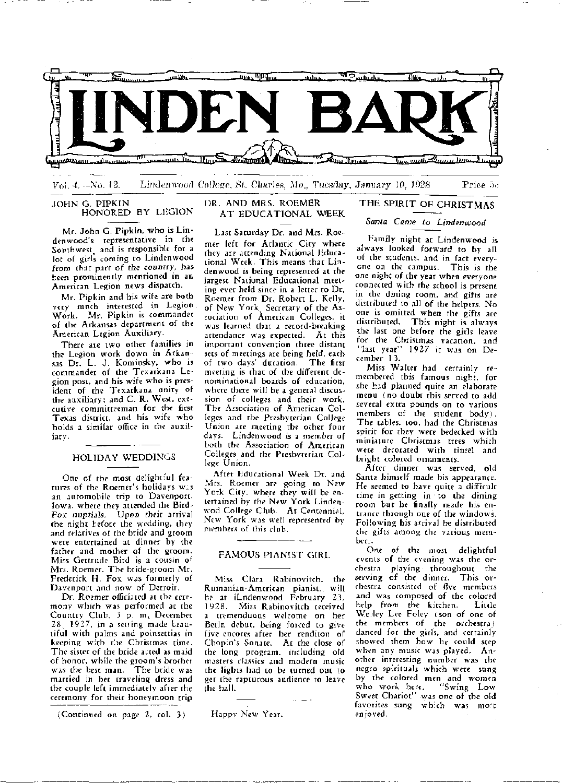

 $V<sub>0</sub>$ , 4. $-N<sub>0</sub>$ , 12. Lindenwood College, St. Charles, Mo., Tucsday, January 10, 1928 Price 5c

#### JOHN G. PIPKIN HONORED BY LEGION

Mr. John G. Pipkin, who is Lindenwood's. representative in the Southwest and is responsible for a lot of girls coming to Lindenwood from that part of *the* country, has been prominently mentioned in an American Legion news dispatch.

Mr. Pipkin and his wife are both very much interested in Legion Work, Mr. Pipkin is commander of the Arkansas department of the American Legion Auxiliary.

There are two other families in the Legion work down in Arkansas Dr. L. J. Kominsky, who is commander of the Texarkana Legion post, and his wife who is president of the Texarkana unity of the auxiliary; and C. R. West, executive committeeman for the first Texas district, and his wife who holds a similar office in the auxiliary.

#### HOLIDAY WEDDINGS

One of the most delightful features of the Roemer's holidays w:.s an automobile trip to Davenport, Iowa, where they attended the Bird-Fox nuptials. Upon their arrival the night before the wedding, they and relatives of the bride and groom were entertained at dinner by the father and mother of the groom. Miss Gertrude Bird is a cousin of Mrs. Roemer. The bride-groom Mr. Frederick H. Fox was formerly of Davenport and now of Detroit.

Dr. Roemer officiated at the ceremony which was performed at the Country Club, 3 p. m. December 28\_ 1927, in a setting made Leautiful with palms and poinsettias in keeping with the Christmas time. The sister of the bride acted as maid of honor, while the groom's brother was the best man. The bride was married in her traveling dress and the couple left immediately after the ceremony for their honeymoon trip

(Continued on page 2, col. 3)

#### DR. AND MRS. ROEMER AT EDUCATIONAL WEEK

Last Saturday Dr. and Mrs. Roemer left for Atlantic City where they are attending National Educational Week. This means that Lindenwood is being represented at the largest National Educational meeting ever held since in a letter to Dr. Roemer from Dr. Robert L. Kelly, of New York. Secretary of the Association of American Colleges, it was learned that a record-breaking attendance was expected. At this important convention three distant sets of meetings are being held, each<br>of two days' duration. The first of two days' duration. meeting is that of the different denominational boards of education, where there will be a general discussion of colleges and their work. The Association of American Colleges and the- Presbyterian College Union are meeting the other four days. Lindenwood is a member of Loth the Association of American Colleges and the Presbyterian College Union.

After Educational Week Dr. and Mrs. Roemer are going to New York City, where they will be entertained by the New York Lindenwod College Club. At Centennial, New York was well represented by members of this club.

#### FAMOUS PIANIST GIRL

M:s.s Clara Rabinovitch, the Rumanian-American pianist, will be at iLndenwood February 2.3, 1928. Miss Rabinovitch received a tremenduous welcome on her Berln debut, being forced to give five encores after her renditon of Chop:n's Sonate. At the close of the long program, including old masters classics and modern music the lights had to be turned out to get the rapturous audience to leave the hall.

Happy New Year.

# THE SPIRIT OF CHRISTMAS

*Santa Came to Lindenwood* 

Family night at Lindenwood is always looked forward to by all of the students, and in fact everycne on the campus. This is the one night of the year when everyone connected with the school is present in the dining room, and gifts are distributed to all of the helpers. No one is omitted when the gifts are distributed. This night is always the last one before the gicls leave for the Christmas vacation, and ''last year" 1927 it was on December 13.

Miss Walter had certainly remembered this famous night, for she had planned quite an elaborate menu (no doubt this served to add several extra pounds on to various members of the student body). The tables, too, had the Christmas spirit for they were bedecked with miniature Christmas trees which were decorated with tinsel and bright colored ornaments.

After dinner was served, old Santa himself made his appearance. He seemed to have quite a difficult time in getting in to the dining room but he finally made his entrance through one of the windows. Following his arrival he distr;buted the gifts among the various member:.

One of the most delightful events of the evening was the orchestra playing throughout the serving of the dinner. This orchestra consisted of five members and was composed of the colored hdp from the kitchen. Little Welley Lee Foley *(son of one of* the members of the orchestra) danced for the girls. and certainly showed them how he could step when any music was played. Another interesting number was the negro spirituals which were sung by the colored men and women who work here. "Swing Low Sweet Chariot" was one of the old favorites sung which was moet cnjoved.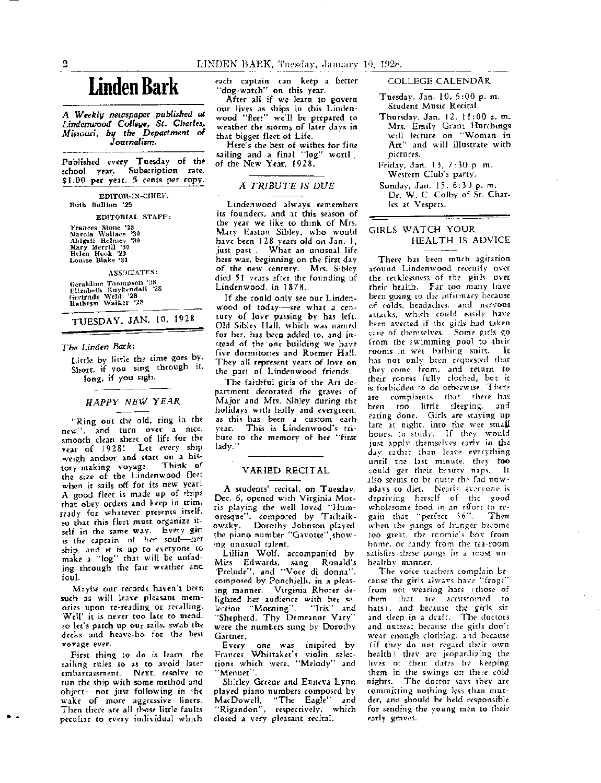# **Linden Bark**

*A Weekly newspaper ·published at Lindenwood College, St. Charles, Missouri,* by *the Department* of *Jourmilism.* 

Published every Tuesday of the school year. Subscription rate, Sl,00 per year, 5 cents per copy.

EDITOR-IN-CHIBF, Ruth Bullion '29 EDITORIAL STAFF: Frances Stone '28 Marcia Wallace '30 Abigail Holmes '30 Mary Merrill '30 Helen Hook '29 Louise Blake '31 ASSOCIATES: Geraldine Thompson '28<br>Elizabeth Kuykendall '28<br>Gertrude Webb '28<br>Kathryn Walker '28 TUESDAY, JAN. 10, 1928

#### *The Linden Bark:*

Little by little the time goes by. Short, if you sing through it. long. if you sigh.

## HAPPY NEW YEAR

"Ring out the old, ring in the new", and turn over a nice, smooth clean sheet of life for the vear of 1928! Let every ship weigh anchor and start on a his-<br>tory-making voyage. Think of tory-making voyage. the size of the Lindenwood fleet when it sails off for its new year! A good fleet is made up of thips that obey orders and keep in trim, ready for whatever presents itself. so that this fleet must organize itself in the same way. Every girl is the captain of her soul-her ship, and it is up to everyone to make a ''log" that will be unfading through the fair weather and foul.

Maybe our records haven't been such as will leave pleasant memories upon re-reading or recalling. Well' it is never too late to mend, so let's patch up our sails, swab the decks and heave-ho for the best voyage ever,

First thing to do is learn the sailing rules so as to avoid later embarrassment. Next, resolve to run the ship with some method and object-not just following in the wake of more aggressive liners. Then there are all those little faults peculiar to every individual which

each captain can keep a better "dog-watch" on this year.

After all if we learn to govern our lives as ships in this Lindenwood "fleet" we'll be prepared to weather the storms of later days in that bigger fleet of Life.

Here's the best of wishes for fine sailing and a final "log" worth of the New Year, 1928.

#### A TRIBUTE IS DUE

Lindenwood always remembers its founders, and at this season of the year we like to think of Mrs. Mary Easton Sibley, who would have been 128 years old on Jan. I, just past . What an unusual life hers was, beginning on the first day of the new century. Mrs. Sibley died 51 years after the founding of Lindenwood, in 1878.

If she could only see our Lindenwood of today--see what a century of love passing by has left. Old Sibley Hall, which was named for her, has been added to, and in stead of the one building we have five dormitories and Roemer Hall. They all represent years of love on the part of Lindenwood friends.

The faithful girls of the Art department decorated the graves of Major and Mrs. Sibley during the holidays with holly and evergreen, as this has been a custom each year. This is Lindenwood's tribute to the memory of her "first lady."

#### VARIED RECITAL

A students' recital, on Tuesday, Dec. 6, opened with Virginia Morris playing the well loved "Humoresque'', compo:ed by Tschaikowsky. Dorothy Johnson played the piano number "Gavotte" show- •ng unusual talent. •

Lillian Wolf, accompanied by Miss Edwards, sang Ronald's 'Prelude", and "Voce di donna", composed by PonchieHi, in a pleasing manner. Virginia Rhorer delighted her audience with her se-<br>lection "Morning". "Tris" and lection "Morning". · 'Shepherd, Thy Demeanor Vary'' were the numbers sung by Dorothy

Gartner.<br>Every one was inspired by Frances Whittaker's violin selections which were, "Melody" and 'Menuet".

Shirley Greene and Euneva Lynn played piano numbers composed by MacDowe:ll, ''The Eagle" and ''Rigandon'', respectively, which closed a very pleasant recital.

COLLEGE CALENDAR

- Tuesday, Jan. I 0, 5 :00 p. m. Student Music Recital.
- Thursday, Jan, 12, I I :00 a. m. Mrs. Emily Grant Hutchings will lecture on "Woman in Art" and will illustrate with pictures.
- Friday, Jan. 13, 7: 10 p. m. Western Club's party.
- Sunday, Jan. 15, 6:30 p. m. Dr. W. C. Colby of St. Charles at Vespers.

#### GIRLS WATCH YOUR HEALTH IS ADVICE

There has been much agitation around Lindenwood recent{y over the recklessness of the girls over their health. Far too many have been going to the infirmary because of colds, headaches, and nervous attacks, which could easily have been averted if the gids had taken care of themselves. Some girls go from the swimming pool to their moms in wet bathing suits. It has not only been requested that they come from, and return to their rooms fully clothed, but it is forbidden to do otherwise. There are complaints that there has been too little sleeping, and eating done. Girls are staying up late at night, into the wee small hours, to study. If they would just apply themselves early in the day rather than leave everything until the last minute, they too could get their beauty naps. It also seems to be quite the fad nowadays to diet. Nearly everyone is depriving herself of the good wholesome food in an effort to regain that "perfect 36". Then when the pangs of hunger become too great, the rcomie's box from home, or candy from the tea-room satisfies these pangs in a most unhealthy manner.

The voice teachers complain because the girls always have "frogs' from not wearing hats (those of them that arc accustomed to hats). and because the girls sitand sleep in a draft. The doctors and nurses; because the girls don't wear enough clothing, and because ( if they do not regard their own health) they are jeopardiz:ng the lives of their dates by keeping them in the swings on these cold nights. The doctor says they are, committing nothing less than murder, and should be held responsible for sending the young men to their early graves.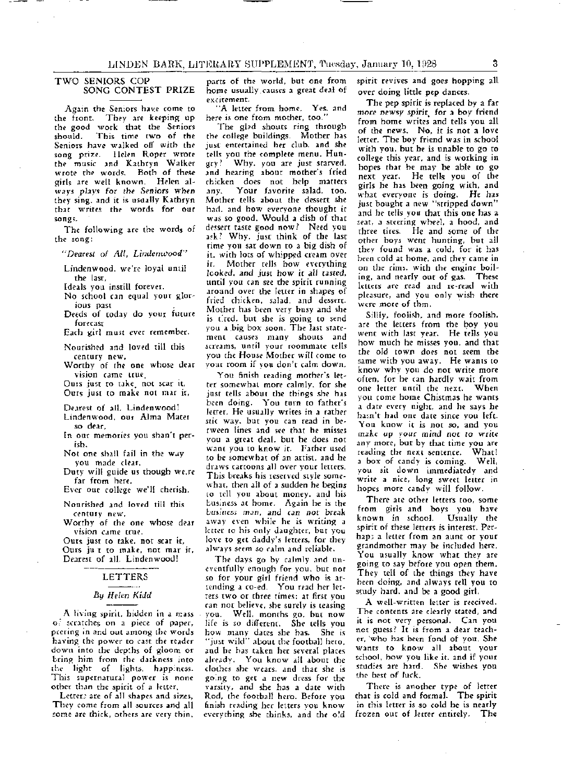#### TWO SENIORS COP SONG CONTEST PRIZE

Again the Seniors have come to the front. They are keeping up the good work that the Seniors<br>should. This time two of the This time two of the Seniors have walked off with the song prize. Helen Roper wrote the music and Kathryn Walker wrote the words. Both of these girls are well known. Helen al~ *ways* plays for the Seniors when they sing, and it is usually Kathryn that writes the words for our songs.

The following are the words of the song:

*"Dearest of All, Lindenwood"* 

Lindenwood, we're loyal until the last,

Ideals you instill forever.

- No school can equal your glor~ ious past .
- Deeds of today do your future forecast

Each girl must ever remember.

Nourished and loved till this

Worthy of the one whose dear vision came true.

Ours just to take, not scar it, Ours just to make not mar it,

- Dearest of all, Lindenwood! Lindenwood, our Alma Mater
- so dear.
- In our memories you shan't perish.
- Not one shall fail in the *w.iy*  you made clear,
- Duty will guide us though we.re far from here,

Ever out college we'll cherish.

Nourished and loved till this century new,

Worthy of the one whose dear vision came true.

Ours just co take, not scar it, Ours ju\_t to make. not mar it, Dearest of all, Lindenwood!

#### LETTERS

#### By *Helen* Kidd

A living spirit, hidden in a mass o:: scratches on a piece of paper, peering in and out among the words having the power to cast the reader down into the depths of gloom or bring him from the darkness into the light of lights, happ:ness. This supernatural power is none other than the spirit of a letter.

Letters are of all shapes and sizes, They come from all sources and all some are thick, others are very thin.

parts of the world, but one from home usually.causes a great deal of excitement.

"A letter from home. Yes, and here is one from mother, too."

The glad shouts ring through the college buildings. Mother has just entertained her club, and she tells you the complete menu. Hun-<br>gry? Why. you are just starved. Why, you are just starved, and hearing about mother's fried chicken does not help matters<br>any. Your favorite salad, too. Your favorite salad, too. Mother tells about the dessert she had, and how everyone thought it was so good. Would a dish of that dessert taste good now? Need you ask? Why, just think of the last time you sat down to a big dish of it, with lots of whipped cream over<br>it. Mother rells how everything Mother tells how everything *looked,* and just how it aIJ tasted, until you can see the spirit running around over the letter in shapes of fried chicken, salad, and dessert. Mother has been very busy and she is t:red, but she is going to send you a big box soon. The last statement causes many shouts and screams, until your roommate tells you rhe House Mother will come to your room if you don't calm down.

You finish reading mother's letter somewhat more calmly, for she just tells about the things she has been doing. You turn co father's letter. He usually writes in a rather stic way, but you can read in between lines and see that he misses you a great deal, but he does not want you to know it. Father used to be somewhat of an artist, and he draws cartoons all over your letters. This breaks his reserved style somewhat, then all of a sudden he begins to tell you about money, and his lusiness at home. Again he is the *busines:;* man, and *can not* break away even while he is writing a letter to his only daughter, but you love to get daddy's letters, for they always seem so calm and reliable.

The days go by calmly and uneventfully enough for you, but not so for your girl friend who is attending a co-ed. You read her letters two or three times; at first you can not believe, she surely is teasing you. Well, months go, but now life is so different. She tells you how many dates she has. She is ''just wild'' about the football hero, and he has taken her several places already. You know all about the clothes she wears, and that she is go:ng to get a new dress for the varsity, and she has a dare with Rod, the football hero. Before you finish reading her letters you know everything she thinks. and the o:d

spirit revives and goes hopping all over doing little pep dances.

The pep spirit is replaced by a far more- newsy spirit. for a boy friend from home writes and tells you all of the news. No, it is not a love letter. The boy friend was in school with you, but he is unable to go to college this year, and *is* working in hopes that he may be able to go next year. He tells you of the girls he has been going with, and what everyone is doing. He has just bought a new "stripped down" and he tells you that this one has a seat, a steering wheel, a hood, and three tires. He and some of the other boys went hunting, but all they found was a cold, for it has been cold at home, and they came in on the rims, with the engine boiling, and nearly out of gas. These letters are read and re-read with pleasure, and you only wish there were more of chm.

Sillly, foolish, and more foolish, are the letters from the boy you went with last year. He tells you how much he misses you, and that the old town does not seem the same with you away. He wants to know why you do not write more often, for he can hardly wait from one letter until the next. When you come home Chistmas he wants a date every night, and he says he hasn't had one date since you left. You know it is not so, and you *make* up your mind not to write any more, but by that time you are reading the next sentence. What! a box of candy is coming. Well, you sit down immediatedy and write a nice, long sweet letter in hopes more candy will follow.

There are other letters too, some from girls and boys you bave<br>known in school. Usually the known in school. spirit of these letters is interest. Perhap; a letter from an aunt or your grandmother may be included here. You usually know what they are going to say before you open them, They tell of the things they have been doing, and always tell you to study hard, and be a good girl.

A well-written letter is received. The contents are clearly stated, and it is not very personal. Can you not guess? It is from a dear teacher, 'who has been fond of you. She wants to know all about your school, how you like it, and if your studies are hard. She wishes you the best of *luck.* 

There is another type of letter that is cold and formal. The spirit in this letter is so cold he is nearly frozen our of letter entirely. The

3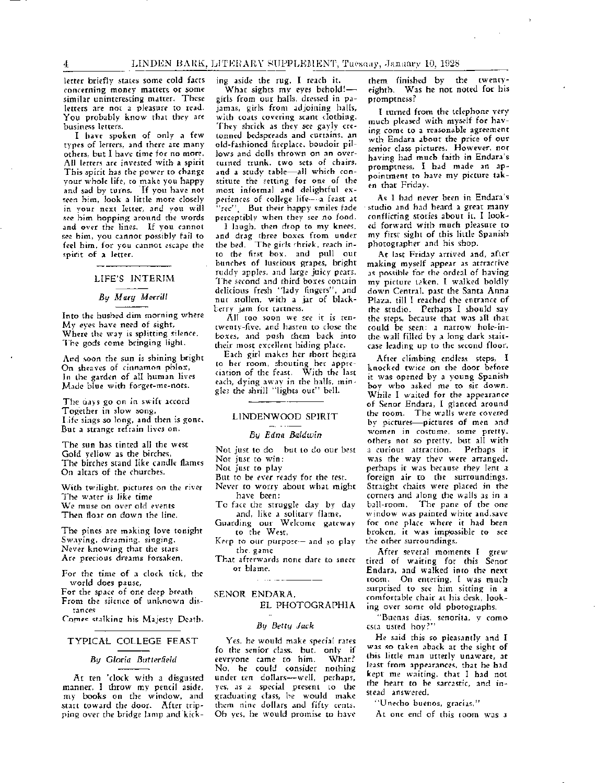letter briefly states some cold facts concerning money matters or some similar uninteresting matter. These letters are not a pleasure to read. You probably know that they are business letters.

I have spoken of only a few types of letters, and there are many others, but I have time for no more. All letters are invested with a spirit This spirit has the power to change your whole life, to make you happy and sad by turns. If you have not seen him, look a little more closely in your next letter, and you will see him hopping around the words and over the lines. If you cannot see him, you cannot possibly fail to feel him, for you cannot escape the spirit of a letter.

LIFE'S INTERIM

#### *By Mary M etrill*

Into the hushed dim morning where My eyes have need of sight, Where the way is splitting silence, The gods come bringing light.

And soon the sun is shining bright On sheaves of cinnamon phlox, In the garden of all human lives Made blue with forget-me-nots.

The cays go on in swift accord Together in slow song, Life sings so long, and then is gone. But a strange refrain lives on,

The sun has tinted all the west Gold yellow as the birches, The birches stand like candle flames On altars of the churches,

Whh twilight, pictures on the river The water is like time We muse on over old events Then float on down the line,

The pines are making love tonight Swaying, dreaming, singing, Never knowing that the stars Arc precious dreams forsaken,

For the time of a clock tick, the world does pause,

For the space of one deep breath From the silence of unknown distances

Comes stalking his Majesty Death.

#### TYPICAL COLLEGE FEAST

#### *By Gloria Butterfield*

At ten 'clock with a disgusted manner, I throw my pencil aside, my books on the window, and start toward the door. After tripping over the bridge lamp and licking aside the rug, I reach it.

What sights my eyes behold!girls from our halls, dressed in pajamas, girls from adjoining halls, with coats covering scant clothing. They shrick as they see gayly cretonned bedspreads and curtains, an old-fashioned fireplace, boudoir pillows and dolls thrown on an overturned trunk, two sets of chairs, and a study table-all which constitute the setting for one of the most informal and delightful experiences of college life-a feast at "rec". But their happy smiles fade perceptibly when rhey see no food,

I laugh, then drop to my knees, and drag three boxes from under the bed, The girls chriek, reach into the first box. and pull out bunches of luscious grapes, bright ruddy apples, and large juicy pears. The second and third boxes contain delicious fresh "lady fingers", and nut stollen, with a jar of blackberry jam for tartness.

All too soon we see it is tentwenty-five, and hasten to close the boxes, and push them back into their most excellent hiding p1ace.

Each girl makes her short hegira to her room, shouting her appreciation of the feast. With the last each, dying away in the halls. mingle3 the shrill "lights out" bell.

#### LINDENWOOD SPIRIT

#### *By Edna Baldwin*

Not just to do --but to do our best Not just to win;

Not just to play-

- But to be ever ready for the test.
- Never to worry about what might have been;
- To face the struggle day by day and, like a solitary flame,

Guarding our Welcome gateway to the West,

Keep to our purpose-- and so play the game

That afterwards none dare to sneer or blame.

#### SENOR ENDARA,

#### EL PHOTOGRAPHIA

#### *By Betty Jack*

Yes, he would make special rates fo the senior class, but, only if eevryonc came to him. What? No, he could consider nothing under ten dollars-well, perhaps, yes, as a special present to the graduating class, he would make them nine dollars and fifty cents. Oh yes, he would promise to have

them finished by the twentyeighth. Was he not noted for his promptness?

I turned from the telephone very much pleased with myself for having come to a reasonable agreement wth Endara about the price of our senior class pictures. However, not having had much faith in Endara's promptness, I had made an appointment to have my picture taken that Friday.

As I had never been in Endara's studio and had heard a great many conflicting stories about it, I looked forward with much pleasure to my first sight of this little Spanish photographer and his shop.

At last Friday arrived and, after making myself appear as attractive as possible for the ordeal of having my picture t2.ken, I walked boldly down Central. past the Santa Anna Plaza, till I reached the entrance of the studio. Perhaps I should say the steps, because that was all that could be seen: a narrow hole-inthe-wall filled by a long dark staircase-leading up to the second floor.

After climbing endless steps, I knocked twice on the door before it was opened by a young Spanish boy who asked me to sit down. While I waited for the appearance of Senor Endara, I glanced around the room. The walls were covered by pictures-pictures of men and women in costume, some pretty. others not *so* pretty, but all with a curious attraction, Perhaps it was the way they were arranged, perhaps it was because they lent a foreign air to the surroundings. Straight chairs were placed in the corners and along the wails as in a ball-room. The pane of the one window was painted white and,save for one place where it had been broken, it was impossible to see the other surroundings.

After several moments I grew tired of waiting for this Senor Endara, and walked into the next room. On entering, I was much surprised to see him sitting in a comfortable chair at his desk, looking over some old photographs,

"Buenas dias, senorita, y como csta usted hoy?"

He said this so pleasantly and I was so taken aback at the sight of this little man utterly unaware, at least from appearances, that he had kept me waiting, that I had not the heart to be sarcastic, and instead answered,

'Unecho buenos, gracias,"

At one end of this room was a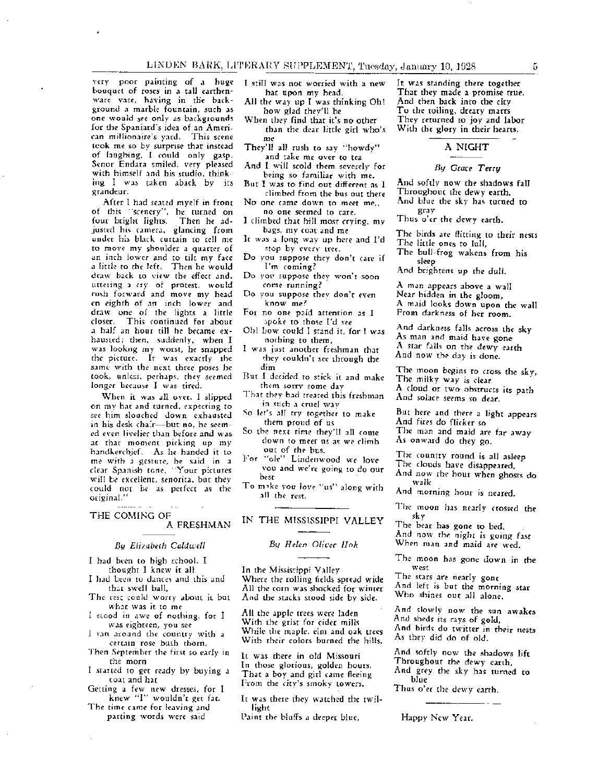very poor painting of a huge bouquet of roses in a tall earthenware vase, having in the background a marble fountain, such as one would see only as backgrounds for the Spaniard's idea of an American millionaire's yard. This scene took me so by surprise that instead of laughing, I could only gasp. Senor Endara smiled, very pleased with himself and his studio, thinking I was taken aback by its grandeur,

After I had seated myelf in front of this ''scenery", he turned on four bright lights. Then he adjusted his camera, glancing from under his black curtain to tell me to move my shoulder a quarter of an inch lower and to tilt my face a little to the left. Then he would draw back to view the effect and, uttering a *cry* of protest, would rush forward and move my head en eighth of an inch lower and draw one of the lights a little closer. This continued for about a half an hour till he became exhausted; then, suddenly, when I was lookng my worst, he snapped the picture. It was exactly the same with the next three poses he took, unless, perhaps, they seemed longer because I was tired.

When it was all over, I slipped on my hat and turned, expecting to see him slouched down exhausted in his desk chair-but no, he seemed even livelier than before and was at that moment picking up my handkerchief. As he handed it to me with a gesture, he said in a clear Spanish tone, "Your pictures will be excellent, senorita, but they could not be as perfect as the original."

THE COMING OF A FRESHMAN

#### *By Elizabeth Caldwell*

I had been to high school. I thought I knew it all

I had been to dances and this and that swell ball,

- The rest could worry about it but what was it to me
- slcod in awe of nothing, for I was eighteen, you *see*
- ran around the country with a certain rose bush thorn,
- Then September the first so early in the morn
- I started to get ready by buying a coat and hat
- Getting a few new dresses, for I knew ''I'' wouldn't get fat.
- The time came for leaving and parting words were said

 $\sim$ 

I still was not worried with a new hat upon my head.

All the way up I was thinking Oh! how glad they'll be

- When they find that it's no other than the dear little girl who's me
- They'll all rush to say "howdy" and take me over to tea
- And I will scold them severely for being so familiar with me.
- But I was to find out different as I climbed from the bus out there
- No one came down to meet me,, no one seemed to care.
- I climbed that hill most crying, my bags, my coat and me
- lt was a long way up here and I'd stop by every tree.
- Do you suppose they don't care if I'm coming?
- Do you suppose they won't soon come running?
- Do you suppose they don't even know me?
- For no one paid attention as I spoke to those I'd see
- Oh! bow could I stand it, for I was nothing to them,
- I was just another freshman that they couldn't see through the dim
- But I decided to stick it and make chem sorry some day
- That they had treated this freshman in such a cruel way
- So ler's alJ try together to make them proud of us
- So the next time they'll all come down to meet *us* as we climb our of the bus.
- For "ole" Lindenwood we love vou and we're going to do our best
- To m"ke you love "us" along with all the rest.

#### IN THE MISSISSIPPI VALLEY

#### *By Helen Oliver Hok*

In the Missiscippi Valley Where the rolling fields spread wide All the corn was shocked for winter And the stacks stood side by side.

All the apple trees were laden With the grist for cider mills While the maple, elm and oak trees With their colors burned the hills.

It was there in old Missouri In those glorious, golden hours, That a boy and girl came fleeing From the city's smoky towers.

- It was there they watched the twillight
- Paint the bluffs a deeper blue,

It was standing there together That they made a promise true. And then back into the city To the roiling, dreary marts They returned to joy and labor With the glory in their hearts.

#### A NIGHT

#### *By Grace Terry*

And softly now the shadows fall Throughout the dewy earth, And blue the sky has turned to

gray

Thus o'er the dewy earth.

- The birds are flitting to their nests The little ones to lull,
- The bull-frog wakens from his sleep
- And brightens up the dull.

A man appears above a wall Near hidden in the gloom, A maid looks down upon the wall From darkness of her room.

And darkness falls across the sky As man and maid have gone A star falls on the dewy earth And now the day is done.

The moon begins to cross the sky, The milky way is clear A cloud or two obstructs its path And solace seems so dear.

But here and there a light appears And fires do flicker so

The man and maid are far away As onward do they go.

The country round is all asleep

- The clouds have disappeared,
- And now the hour when ghosts do walk

And morning hour is neared.

The moon has nearly crossed the sky

The bear has gone to bed, And now the night is going fast

When man and maid are wed.

The moon has gone down in the west

The stars are nearly gone

And left is but the morning star Who shines out all alone.

And slowly now the sun awakes And sheds its rays of gold, And birds do twitter in their nests As they did do of old.

And softly now the shadows lift Throughout the dewy earth, And grey the sky has turned to

blue

Thus o'er the dewy earth.

Happy New Year.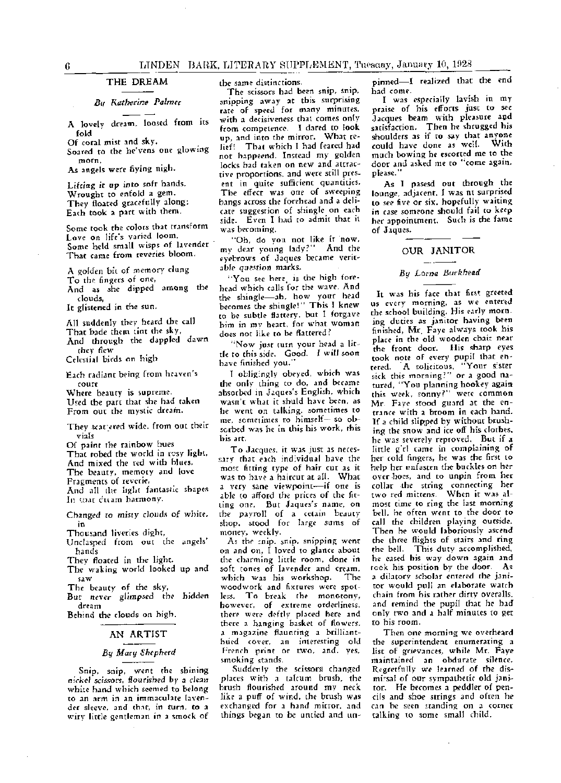#### THE DREAM

#### *Bu Katherine Palmer*

A lovely dream, loosed from its fold

Of coral mist and sky,

Soared to the he'vens one glowing morn,

As angels were fiying nigh.

Lifting *it* up into sofr hands, Wrought to enfold a gem, They floated gracefully along; Each took a part with them.

Some took the colors that transform Love on life's varied loom, Some held small wisps of lavender That came from reveries bloom,

A golden bit of memory dung

To the fingers of one,

And as she dipped among the clouds,

It glistened in the sun.

All suddenly they heard the call

That bade them tint the sky, And thrqugh the dappled dawn they flew

Celestial birds on high

Each radiant being from heaven's court

Where beauty is supreme, Used the part that she had taken From out the mystic dream.

They scattered wide, from out their vials

Of paint the rainbow hues

That robed the world in resy light,

And mixed the red with blues.

The beauty, memory and love Fragments of reverie,

And all the light fantastic shapes

In that ditam harmony.

Changed to misty clouds of white, in

Thousand liveries dight,

Unclasped from out the angels' hands

They floated in the light.

The waking world looked up and saw

The beauty of *the* sky, But *never* glimpsed the hidden

dream Behind the clouds on high.

#### AN ARTIST

#### *By Marr; Shepherd*

Snip, snip, went the shining *nickel scissors,* flourished by a clean white hand which seemed to belong to an arm in an immaculate lavender sleeve, and that, in turn, to a wiry little gentleman in a smock of

the same distinctions.

The scissors had been snip, snip, snipping away at this surprising rate of speed for many minutes, with a decisiveness that comes only from competence. I dared to look up, and into the mirror. What relief! That which I had feared had not happeend. Instead my golden Jocks had taken on new and attractive proportions, and were still present in quite sufficient quantities. The effect was one of sweeping bangs across the forehead and a delicate suggestion of shingle on each £ide. Even I had to admit that it was becoming.

"Oh, do you not like it now, my dear young lady?" And the eyebrows of Jaques became verit*able question* marks,

''You see here is the high forehead which calls for the wave. And the shingle-ah, how your head becomes the shingle!" This I knew to be subtle flattery, but I forgave him in my heart, for what woman does not like to be flattered?

"Now just turn your head a little to this side. Good. I will soon have finished you.'

I oblig:ngly obeyed, which was the only thing to do, and became absorbed in Jaques's English, which wasn't what it shuld have been, as he went on talking. sometimes to me. sometimes to himself- so obsorbed was he in this his work, this his arr.

To Jacques, it was just as neces sary that each individual have the most fitting type of hair cut as it was to have a haircut at all. What a very sane viewpoint-if one is able to afford the prices of the fitting one. But Jaques's name, on the payroll of a cetain beauty shop, stood for large sums of money, weekly.

As the enip, snip, snipping went on and on, I loved to glance about the charming little room, done in soft tones of lavender and cream, which was his workshop. The woodwork and fixtures were spotless. To break the monotony, however, of extreme orderliness, there were deftly placed here and there a hanging basket of flowers, a magazine flaunting a brillianthued cover, an interesting old French print or two, and, yes, smoking stands.

Suddenly the scissors changed places with a talcum brush, the brush flourished around my neck like a puff of wind, the brush was exchanged for a hand mirror, and things began to be untied and un-

pinned-I realized that the end had come.

I was especially lavish in my praise of his, efforts just to see Jacques beam with pleasure aod satisfaction. Then he shrugged his shoulders as if to say that anyone could have done as well. With much bowing he escorted me to the door and asked me to "come again, please."

As I pasesd out through the lounge, adjacent, I was nt surprised to see five or six, hopefully waiting in case someone should fail to keep her appointment. Such is the fame of Jaques.

#### OUR JANITOR

### *By Lorna Burkhead*

It was his face that first greeted us every morning, as we entered the school building. His early morning duties as janitor having been finished. Mr. Faye always took his place in the old wooden chair near the front door. His sharp eyes took note of every pupil that entered. A solicitous, "Your sister  $_{\rm{sick}}$  this morning?" or a good natured, "You planning hookey again this week, sonny?" were common Mr. Faye stood guard at the entrance with a broom in each hand. If a child slipped by without brushing the snow and ice off his clothes, he was severely reproved. But if a little g'rl came in complaining of her cold fingers, he was the first to help her unfasten the buckles on her over hoes, and to unpin from her collar .the string connecting her cwo red mittens. When it was almost time to ring the last morning bell, he often went to the door to call the children playing outside. Then he would laboriously ascend the three flights of stairs and ring<br>the bell. This duty accomplished, This duty accomplished, he eased his way down again and tcck his position by the door. As a dilatory scholar entered the janitor would pull an elaborate watch chain from his rather dirty overalls, and remind the pupil that he had only two and a half minutes to get to his room.

Then one morning we overheard the superintendent enumerating a list of grievances, while Mr. Faye maintained an obdurate- silence. Regretfully we learned of the dismissal of our sympathetic old janitor. He becomes a peddler of pencils and shoe strings and often he can be seen standing on a corner talking to some small child.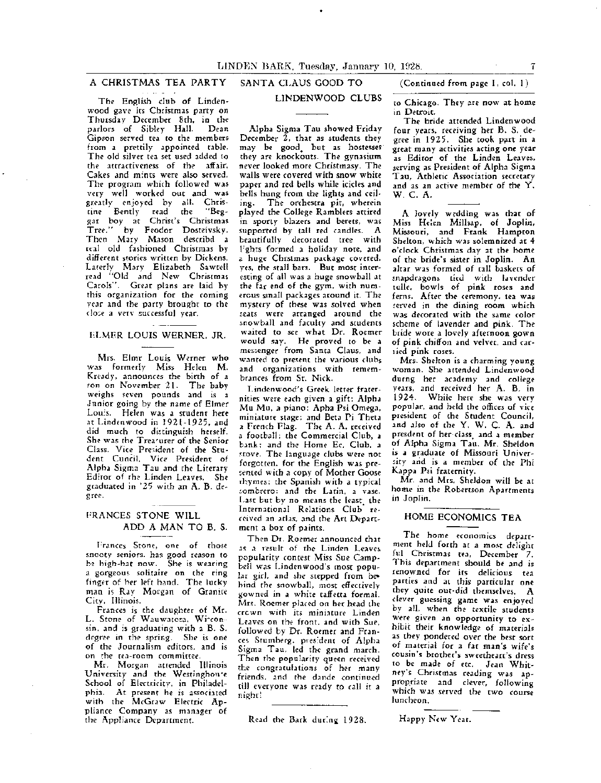SANTA CLAUS GOOD TO

### A CHRISTMAS TEA PARTY

The English club of Lindenwood gave its Christmas party on Thursday December 8th. in the parlors of Sibley Hall. Gipson served tea to the members from a prettily appointed table. The old silver tea set used added to the attractiveness of the affair, Cakes and mints were also served, The program which followed was very well worked out and was greatly enjoyed by all. Christine Bently read the "Beggar boy at Christ's Christmas Tree," by Feodor Dosteivsky. Then Mary Mason describd a u:al old fashioned Christmas by different stories written by Dickens. Larerly Mary Elizabeth Sawtell read "Old and New Christmas Carols". Grear plans are laid by this organization for the coming year and the party brought to the close a verv successful year.

#### $\mathbf{1}$ ELMER LOUIS WERNER, JR.

Mrs. Elmr Louis Werner who was formerly Miss Helen M. Kready, announces the birth of a son on November 21. The baby weighs seven pounds and is a Junior going by the name of Elmer Lou:s. Helen was a student here at Lindrnwood in 1921-1925, and did much to distinguish herself. She was the Treaturer of the Senior Class, Vice President of the Student Cuncil, Vice President of Alpha Sigma Tau and the Literary Editor of the Linden Leaves. She graduated in '25 with an A. B. degree.

#### FRANCES STONE WILL ADD **A MAN** TO B. S.

Frances Stone, one of those snooty seniors. has good reason to b~ high-hat now. She is wearing a gorgeous solitaire on the ring finger of her left hand. The lucky man is Ray Morgan of Granite City, Illinois.

Frances is tbe daughter of Mr. L. Stene of Wauwatosa, Winconsin, and is graduating with a B. S. degree in the spring. She is one of the Journalism editors, and is on the tea-room committee

Mr. Morgan attended Illinois University and the Westinghowe School of Electricity, in Philadelphia. At present he is associated with the McGraw Electric Appliance Company as manager of the Appliance Department.

#### LINDENWOOD CLUBS

Alpha Sigma Tau showed Friday December 2, that as students they may be good, but as hostesses they are knockouts. The gynasium never looked more Christmasy. The walls were covered with snow white paper and red bells while icicles and bells hung from the lights and ceiling. The orchestra pit, wherein played the College Ramblers attired in sporty blazers and berets, was supported by tall red candles. A beautifully decorated tree with l:ghts formed a holiday note, and a huge Chrstmas package covered, yes, the stall bars. But most interesting of all was a huge snowball at the far end of the gym. with numerous smaII packages around it. The mystery of these was solved when seats were arranged around the snowball and faculty and students waited to see what Dr. Roemer would say. He proved to be a messenger from Santa Claus, and wanted to present the various clubs and organizations with remembrances from St. Nick.

Lindenwood's Greek letter fraternities were each given a gift: Alpha Mu Mu, a piano; Apha Psi Omega, miniature stage; and Beta Pi Theta a French Flag. The A. A. received a football; the Commercial Club, a bank; and the Home Ee, Club, a stove. The language clubs were not forgctten, for the English was pre sented with a copy of Mother Goose t'bymes: the Spanish with a typical sombrero: and the Latin, a vase. Last but by no means the least. the International Relations Club received an atlas, and the Art Department a box of paints.

Then Dr. Roemer announced that as a result of the Linden Leaves popularity contest Miss Sue Campbell was Lindenwood's most popular girl, and she stepped from behind the snowball, most effectively gowned in a white taffetta formal. Mrs. Roemer placed on her head the crcwn with its miniature Linden Leaves on the front, and with Sue, followed by Dr. Roemer and Frances Stumberg, president of Alpha Sigma Tau, led the grand march. Then the popularity queen received the congratulations of her many friends, and the dande continued till everyone was ready to call it a night!

Read the Bark during 1928.

(Continued from page I, col. l)

to Chicago. They are now at home in Detroit.

The bride attended Lindenwood four years, receiving her B. S. degree in 1925. She took part in a great many activities acting one year as Editor of the Linden Leaves, serving as President of Alpha Sigma Tau, Athletic Association secretary and as an active member of the Y. W. C. A.

A lovely wedding was that of Miss Heien Millsap, of Joplin, Missouri, and Frank Hampton Shelton, which was solemnized at 4 o'clock Christmas day at the home of the bride's sister in Joplin. An altar was formed of tall baskets of snapdragons tied with lavender tulle, bowls of pink roses and ferns. After the ceremony, tea was served in the dining room which was decorated with the same color scheme of lavender and pink. The bride wore a lovely afternoon gown of pink chiffon and velvet, and carried pink roses.

Mrs. Shelton is a charming young woman. She- attended Lindenwood durng her academy and college years, and received her A. B. in 1924. While here she was very popular, and held the offices of vice president of the Student Council, and also of the Y. W. C. A. and presdent of her class, and a member of Alpha Sigma Tau. Mr. Sheldon is a graduate of Missouri University arid is a member of the Phi Kappa Psi fraternity.

Mr. and Mrs. Sheldon will be at home in the Robertson Apartments in Joplin.

#### HOME ECONOMICS TEA

The home economics department held forth at a most delight ful Christmas tea, December 7. This department should be and is renowned for its delicious tea panies and at this particular one they quite out-did themselves. A clever guessing game- was enjoyed by all, when the textile students were given an opportunity to exhibit their knowledge of materials as they pondered over the best sort of material for a fat man's wife's cousin's brother's sweetheart's dress to be made of etc. Jean Whitney's Christmas reading was appropriate and clever, following which was served the two course luncheon.

Happy New Year.